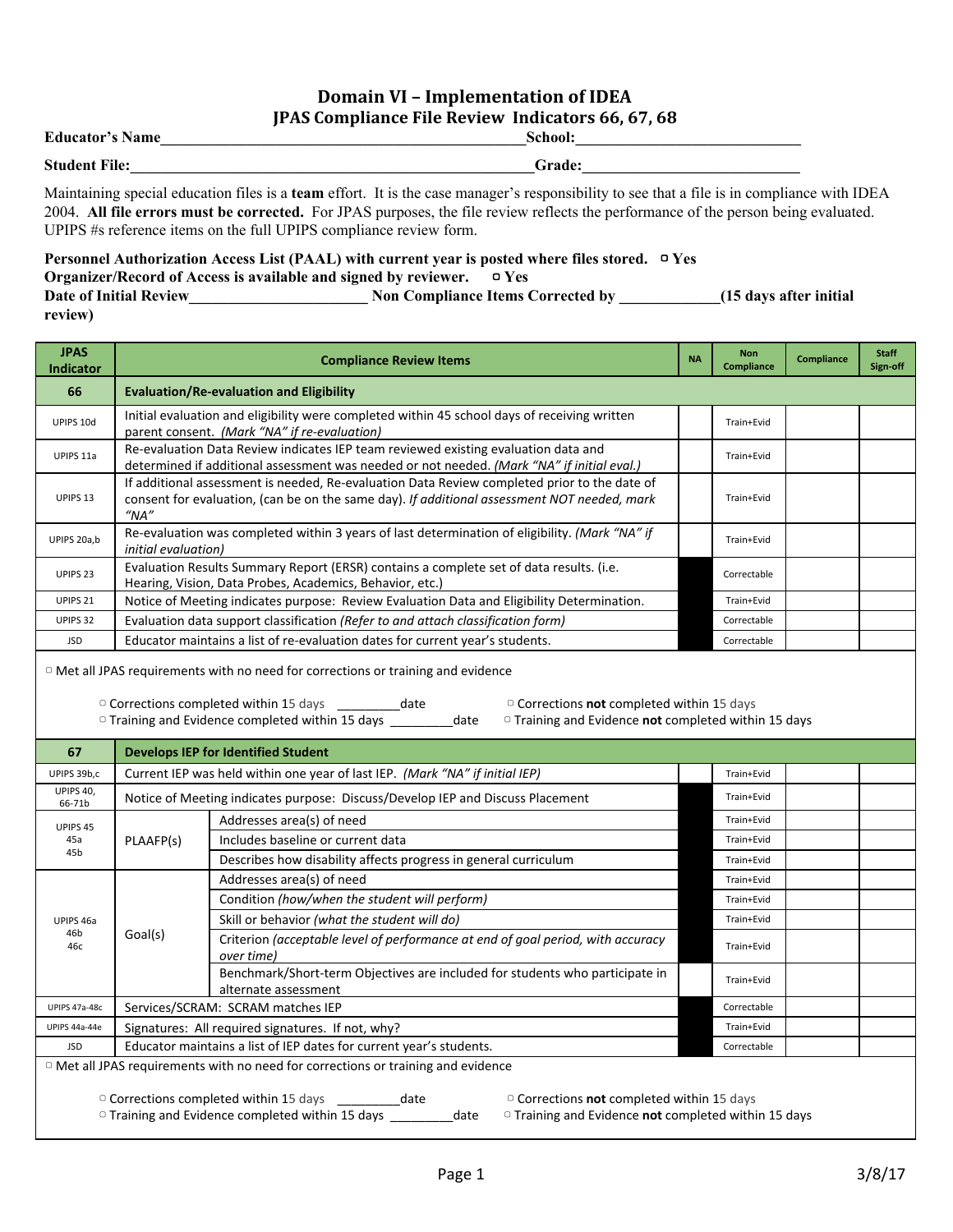## **Domain VI – Implementation of IDEA JPAS Compliance File Review Indicators 66, 67, 68**

| <b>Educator's Name</b> | School: |
|------------------------|---------|
| <b>Student File:</b>   | Grade:  |

 UPIPS #s reference items on the full UPIPS compliance review form. Maintaining special education files is a **team** effort. It is the case manager's responsibility to see that a file is in compliance with IDEA 2004. **All file errors must be corrected.** For JPAS purposes, the file review reflects the performance of the person being evaluated.

## **Personnel Authorization Access List (PAAL) with current year is posted where files stored.** ▢ **Yes Organizer/Record of Access is available and signed by reviewer.**  $\Box$  Yes **Organizer/Record of Access is available and signed by reviewer.** ▢ **Yes Date of Initial Review\_\_\_\_\_\_\_\_\_\_\_\_\_\_\_\_\_\_\_\_\_\_\_ Non Compliance Items Corrected by \_\_\_\_\_\_\_\_\_\_\_\_\_(15 days after initial review)**

| <b>JPAS</b><br><b>Indicator</b>                                                                                                                                                                                                                            |                                                                                                                                                                                                                      | <b>Compliance Review Items</b>                                                                       |            | <b>Non</b><br><b>Compliance</b> | <b>Compliance</b> | <b>Staff</b><br>Sign-off |  |
|------------------------------------------------------------------------------------------------------------------------------------------------------------------------------------------------------------------------------------------------------------|----------------------------------------------------------------------------------------------------------------------------------------------------------------------------------------------------------------------|------------------------------------------------------------------------------------------------------|------------|---------------------------------|-------------------|--------------------------|--|
| 66                                                                                                                                                                                                                                                         | <b>Evaluation/Re-evaluation and Eligibility</b>                                                                                                                                                                      |                                                                                                      |            |                                 |                   |                          |  |
| UPIPS 10d                                                                                                                                                                                                                                                  | Initial evaluation and eligibility were completed within 45 school days of receiving written<br>parent consent. (Mark "NA" if re-evaluation)                                                                         |                                                                                                      |            | Train+Evid                      |                   |                          |  |
| UPIPS 11a                                                                                                                                                                                                                                                  | Re-evaluation Data Review indicates IEP team reviewed existing evaluation data and<br>determined if additional assessment was needed or not needed. (Mark "NA" if initial eval.)                                     |                                                                                                      | Train+Evid |                                 |                   |                          |  |
| UPIPS 13                                                                                                                                                                                                                                                   | If additional assessment is needed, Re-evaluation Data Review completed prior to the date of<br>consent for evaluation, (can be on the same day). If additional assessment NOT needed, mark<br>$^{\prime\prime}$ NA" |                                                                                                      | Train+Evid |                                 |                   |                          |  |
| UPIPS 20a,b                                                                                                                                                                                                                                                | Re-evaluation was completed within 3 years of last determination of eligibility. (Mark "NA" if<br><i>initial</i> evaluation)                                                                                         |                                                                                                      | Train+Evid |                                 |                   |                          |  |
| UPIPS <sub>23</sub>                                                                                                                                                                                                                                        | Evaluation Results Summary Report (ERSR) contains a complete set of data results. (i.e.<br>Correctable<br>Hearing, Vision, Data Probes, Academics, Behavior, etc.)                                                   |                                                                                                      |            |                                 |                   |                          |  |
| UPIPS <sub>21</sub>                                                                                                                                                                                                                                        |                                                                                                                                                                                                                      | Notice of Meeting indicates purpose: Review Evaluation Data and Eligibility Determination.           |            | Train+Evid                      |                   |                          |  |
| UPIPS 32                                                                                                                                                                                                                                                   |                                                                                                                                                                                                                      | Evaluation data support classification (Refer to and attach classification form)                     |            | Correctable                     |                   |                          |  |
| <b>JSD</b>                                                                                                                                                                                                                                                 |                                                                                                                                                                                                                      | Educator maintains a list of re-evaluation dates for current year's students.                        |            | Correctable                     |                   |                          |  |
| <sup>o</sup> Corrections completed within 15 days<br>$\circ$ Corrections not completed within 15 days<br>______________date<br>□ Training and Evidence completed within 15 days<br><sup>o</sup> Training and Evidence not completed within 15 days<br>date |                                                                                                                                                                                                                      |                                                                                                      |            |                                 |                   |                          |  |
| 67                                                                                                                                                                                                                                                         |                                                                                                                                                                                                                      | <b>Develops IEP for Identified Student</b>                                                           |            |                                 |                   |                          |  |
| UPIPS 39b,c                                                                                                                                                                                                                                                |                                                                                                                                                                                                                      | Current IEP was held within one year of last IEP. (Mark "NA" if initial IEP)                         |            | Train+Evid                      |                   |                          |  |
| UPIPS 40,<br>66-71b                                                                                                                                                                                                                                        | Notice of Meeting indicates purpose: Discuss/Develop IEP and Discuss Placement                                                                                                                                       |                                                                                                      |            | Train+Evid                      |                   |                          |  |
| UPIPS 45<br>45a<br>45b                                                                                                                                                                                                                                     | PLAAFP(s)                                                                                                                                                                                                            | Addresses area(s) of need                                                                            |            | Train+Evid                      |                   |                          |  |
|                                                                                                                                                                                                                                                            |                                                                                                                                                                                                                      | Includes baseline or current data                                                                    |            | Train+Evid                      |                   |                          |  |
|                                                                                                                                                                                                                                                            |                                                                                                                                                                                                                      | Describes how disability affects progress in general curriculum                                      |            | Train+Evid                      |                   |                          |  |
|                                                                                                                                                                                                                                                            | Goal(s)                                                                                                                                                                                                              | Addresses area(s) of need                                                                            |            | Train+Evid                      |                   |                          |  |
| UPIPS 46a<br>46b<br>46с                                                                                                                                                                                                                                    |                                                                                                                                                                                                                      | Condition (how/when the student will perform)                                                        |            | Train+Evid                      |                   |                          |  |
|                                                                                                                                                                                                                                                            |                                                                                                                                                                                                                      | Skill or behavior (what the student will do)                                                         |            | Train+Evid                      |                   |                          |  |
|                                                                                                                                                                                                                                                            |                                                                                                                                                                                                                      | Criterion (acceptable level of performance at end of goal period, with accuracy<br>over time)        |            | Train+Evid                      |                   |                          |  |
|                                                                                                                                                                                                                                                            |                                                                                                                                                                                                                      | Benchmark/Short-term Objectives are included for students who participate in<br>alternate assessment |            | Train+Evid                      |                   |                          |  |

 ▢ Met all JPAS requirements with no need for corrections or training and evidence JSD Educator maintains a list of IEP dates for current year's students. Correctable

▢ Corrections completed within 15 days \_\_\_\_\_\_\_\_\_date ▢ Corrections **not** completed within 15 days

▢ Training and Evidence completed within 15 days \_\_\_\_\_\_\_\_\_date ▢ Training and Evidence **not** completed within 15 days

UPIPS 47a-48c Services/SCRAM: SCRAM matches IEP Correctable UPIPS 44a-44e Signatures: All required signatures. If not, why? Support that the state of the Signatures of Train+Evid